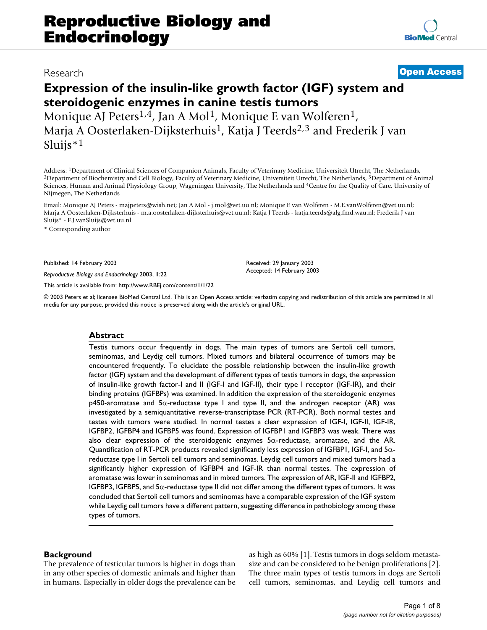**[BioMed](http://www.biomedcentral.com/)** Central

# **Expression of the insulin-like growth factor (IGF) system and steroidogenic enzymes in canine testis tumors**

Monique AJ Peters<sup>1,4</sup>, Jan A Mol<sup>1</sup>, Monique E van Wolferen<sup>1</sup>, Marja A Oosterlaken-Dijksterhuis<sup>1</sup>, Katja J Teerds<sup>2,3</sup> and Frederik J van Sluijs $*1$ 

Address: <sup>1</sup>Department of Clinical Sciences of Companion Animals, Faculty of Veterinary Medicine, Universiteit Utrecht, The Netherlands, <sup>2</sup>Department of Biochemistry and Cell Biology, Faculty of Veterinary Medicine, Unive Sciences, Human and Animal Physiology Group, Wageningen University, The Netherlands and 4Centre for the Quality of Care, University of Nijmegen, The Netherlands

Email: Monique AJ Peters - majpeters@wish.net; Jan A Mol - j.mol@vet.uu.nl; Monique E van Wolferen - M.E.vanWolferen@vet.uu.nl; Marja A Oosterlaken-Dijksterhuis - m.a.oosterlaken-dijksterhuis@vet.uu.nl; Katja J Teerds - katja.teerds@alg.fmd.wau.nl; Frederik J van Sluijs\* - F.J.vanSluijs@vet.uu.nl

\* Corresponding author

Published: 14 February 2003

*Reproductive Biology and Endocrinology* 2003, **1**:22

[This article is available from: http://www.RBEj.com/content/1/1/22](http://www.RBEj.com/content/1/1/22)

Received: 29 January 2003 Accepted: 14 February 2003

© 2003 Peters et al; licensee BioMed Central Ltd. This is an Open Access article: verbatim copying and redistribution of this article are permitted in all media for any purpose, provided this notice is preserved along with the article's original URL.

# **Abstract**

Testis tumors occur frequently in dogs. The main types of tumors are Sertoli cell tumors, seminomas, and Leydig cell tumors. Mixed tumors and bilateral occurrence of tumors may be encountered frequently. To elucidate the possible relationship between the insulin-like growth factor (IGF) system and the development of different types of testis tumors in dogs, the expression of insulin-like growth factor-I and II (IGF-I and IGF-II), their type I receptor (IGF-IR), and their binding proteins (IGFBPs) was examined. In addition the expression of the steroidogenic enzymes  $p450$ -aromatase and  $5\alpha$ -reductase type I and type II, and the androgen receptor (AR) was investigated by a semiquantitative reverse-transcriptase PCR (RT-PCR). Both normal testes and testes with tumors were studied. In normal testes a clear expression of IGF-I, IGF-II, IGF-IR, IGFBP2, IGFBP4 and IGFBP5 was found. Expression of IGFBP1 and IGFBP3 was weak. There was also clear expression of the steroidogenic enzymes 5α-reductase, aromatase, and the AR. Quantification of RT-PCR products revealed significantly less expression of IGFBP1, IGF-I, and  $5\alpha$ reductase type I in Sertoli cell tumors and seminomas. Leydig cell tumors and mixed tumors had a significantly higher expression of IGFBP4 and IGF-IR than normal testes. The expression of aromatase was lower in seminomas and in mixed tumors. The expression of AR, IGF-II and IGFBP2, IGFBP3, IGFBP5, and 5α-reductase type II did not differ among the different types of tumors. It was concluded that Sertoli cell tumors and seminomas have a comparable expression of the IGF system while Leydig cell tumors have a different pattern, suggesting difference in pathobiology among these types of tumors.

# **Background**

The prevalence of testicular tumors is higher in dogs than in any other species of domestic animals and higher than in humans. Especially in older dogs the prevalence can be as high as 60% [1]. Testis tumors in dogs seldom metastasize and can be considered to be benign proliferations [2]. The three main types of testis tumors in dogs are Sertoli cell tumors, seminomas, and Leydig cell tumors and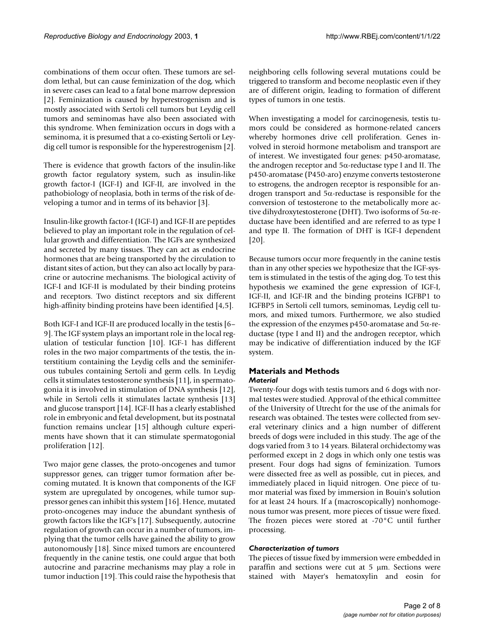combinations of them occur often. These tumors are seldom lethal, but can cause feminization of the dog, which in severe cases can lead to a fatal bone marrow depression [2]. Feminization is caused by hyperestrogenism and is mostly associated with Sertoli cell tumors but Leydig cell tumors and seminomas have also been associated with this syndrome. When feminization occurs in dogs with a seminoma, it is presumed that a co-existing Sertoli or Leydig cell tumor is responsible for the hyperestrogenism [2].

There is evidence that growth factors of the insulin-like growth factor regulatory system, such as insulin-like growth factor-I (IGF-I) and IGF-II, are involved in the pathobiology of neoplasia, both in terms of the risk of developing a tumor and in terms of its behavior [3].

Insulin-like growth factor-I (IGF-I) and IGF-II are peptides believed to play an important role in the regulation of cellular growth and differentiation. The IGFs are synthesized and secreted by many tissues. They can act as endocrine hormones that are being transported by the circulation to distant sites of action, but they can also act locally by paracrine or autocrine mechanisms. The biological activity of IGF-I and IGF-II is modulated by their binding proteins and receptors. Two distinct receptors and six different high-affinity binding proteins have been identified [4,5].

Both IGF-I and IGF-II are produced locally in the testis [6– 9]. The IGF system plays an important role in the local regulation of testicular function [10]. IGF-1 has different roles in the two major compartments of the testis, the interstitium containing the Leydig cells and the seminiferous tubules containing Sertoli and germ cells. In Leydig cells it stimulates testosterone synthesis [11], in spermatogonia it is involved in stimulation of DNA synthesis [12], while in Sertoli cells it stimulates lactate synthesis [13] and glucose transport [14]. IGF-II has a clearly established role in embryonic and fetal development, but its postnatal function remains unclear [15] although culture experiments have shown that it can stimulate spermatogonial proliferation [12].

Two major gene classes, the proto-oncogenes and tumor suppressor genes, can trigger tumor formation after becoming mutated. It is known that components of the IGF system are upregulated by oncogenes, while tumor suppressor genes can inhibit this system [16]. Hence, mutated proto-oncogenes may induce the abundant synthesis of growth factors like the IGF's [17]. Subsequently, autocrine regulation of growth can occur in a number of tumors, implying that the tumor cells have gained the ability to grow autonomously [18]. Since mixed tumors are encountered frequently in the canine testis, one could argue that both autocrine and paracrine mechanisms may play a role in tumor induction [19]. This could raise the hypothesis that neighboring cells following several mutations could be triggered to transform and become neoplastic even if they are of different origin, leading to formation of different types of tumors in one testis.

When investigating a model for carcinogenesis, testis tumors could be considered as hormone-related cancers whereby hormones drive cell proliferation. Genes involved in steroid hormone metabolism and transport are of interest. We investigated four genes: p450-aromatase, the androgen receptor and  $5α$ -reductase type I and II. The p450-aromatase (P450-aro) enzyme converts testosterone to estrogens, the androgen receptor is responsible for androgen transport and 5α-reductase is responsible for the conversion of testosterone to the metabolically more active dihydroxytestosterone (DHT). Two isoforms of 5α-reductase have been identified and are referred to as type I and type II. The formation of DHT is IGF-I dependent [20].

Because tumors occur more frequently in the canine testis than in any other species we hypothesize that the IGF-system is stimulated in the testis of the aging dog. To test this hypothesis we examined the gene expression of IGF-I, IGF-II, and IGF-IR and the binding proteins IGFBP1 to IGFBP5 in Sertoli cell tumors, seminomas, Leydig cell tumors, and mixed tumors. Furthermore, we also studied the expression of the enzymes p450-aromatase and 5α-reductase (type I and II) and the androgen receptor, which may be indicative of differentiation induced by the IGF system.

# **Materials and Methods** *Material*

Twenty-four dogs with testis tumors and 6 dogs with normal testes were studied. Approval of the ethical committee of the University of Utrecht for the use of the animals for research was obtained. The testes were collected from several veterinary clinics and a hign number of different breeds of dogs were included in this study. The age of the dogs varied from 3 to 14 years. Bilateral orchidectomy was performed except in 2 dogs in which only one testis was present. Four dogs had signs of feminization. Tumors were dissected free as well as possible, cut in pieces, and immediately placed in liquid nitrogen. One piece of tumor material was fixed by immersion in Bouin's solution for at least 24 hours. If a (macroscopically) nonhomogenous tumor was present, more pieces of tissue were fixed. The frozen pieces were stored at -70°C until further processing.

### *Characterization of tumors*

The pieces of tissue fixed by immersion were embedded in paraffin and sections were cut at  $5 \mu m$ . Sections were stained with Mayer's hematoxylin and eosin for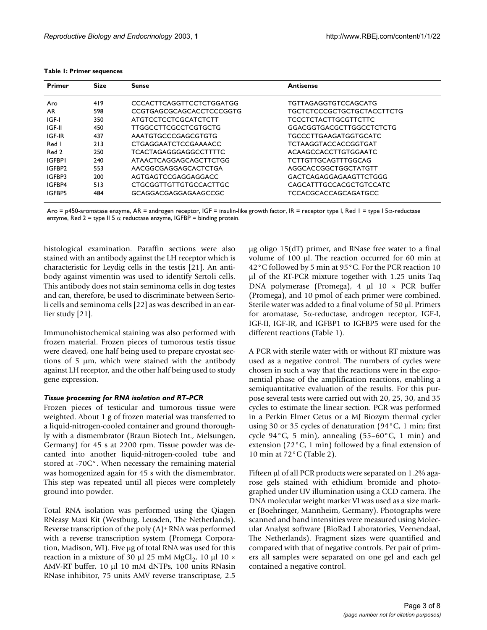<span id="page-2-0"></span>

|  |  |  | Table 1: Primer sequences |
|--|--|--|---------------------------|
|--|--|--|---------------------------|

| <b>Primer</b> | <b>Size</b> | Sense                        | <b>Antisense</b>                |  |
|---------------|-------------|------------------------------|---------------------------------|--|
| Aro           | 419         | CCCACTTCAGGTTCCTCTGGATGG     | TGTTAGAGGTGTCCAGCATG            |  |
| AR.           | 598         | CCGTGAGCGCAGCACCTCCCGGTG     | TGCTCTCCCGCTGCTGCTACCTTCTG      |  |
| IGF-I         | 350         | ATGTCCTCCTCGCATCTCTT         | <b>TCCCTCTACTTGCGTTCTTC</b>     |  |
| IGF-II        | 450         | <b>TTGGCCTTCGCCTCGTGCTG</b>  | <b>GGACGGTGACGCTTGGCCTCTCTG</b> |  |
| IGF-IR        | 437         | AAATGTGCCCGAGCGTGTG          | <b>TGCCCTTGAAGATGGTGCATC</b>    |  |
| Red I         | 213         | CTGAGGAATCTCCGAAAACC         | <b>TCTAAGGTACCACCGGTGAT</b>     |  |
| Red 2         | 250         | <b>TCACTAGAGGGAGGCCTTTTC</b> | ACAAGCCACCTTGTGGAATC            |  |
| <b>IGFBPI</b> | 240         | ATAACTCAGGAGCAGCTTCTGG       | <b>TCTTGTTGCAGTTTGGCAG</b>      |  |
| IGFBP2        | 553         | AACGGCGAGGAGCACTCTGA         | AGGCACCGGCTGGCTATGTT            |  |
| IGFBP3        | 200         | AGTGAGTCCGAGGAGGACC          | GACTCAGAGGAGAAGTTCTGGG          |  |
| IGFBP4        | 513         | CTGCGGTTGTTGTGCCACTTGC       | CAGCATTTGCCACGCTGTCCATC         |  |
| IGFBP5        | 484         | GCAGGACGAGGAGAAGCCGC         | <b>TCCACGCACCAGCAGATGCC</b>     |  |

Aro = p450-aromatase enzyme, AR = androgen receptor, IGF = insulin-like growth factor, IR = receptor type I, Red 1 = type I 5α-reductase enzyme, Red 2 = type II 5  $\alpha$  reductase enzyme, IGFBP = binding protein.

histological examination. Paraffin sections were also stained with an antibody against the LH receptor which is characteristic for Leydig cells in the testis [21]. An antibody against vimentin was used to identify Sertoli cells. This antibody does not stain seminoma cells in dog testes and can, therefore, be used to discriminate between Sertoli cells and seminoma cells [22] as was described in an earlier study [21].

Immunohistochemical staining was also performed with frozen material. Frozen pieces of tumorous testis tissue were cleaved, one half being used to prepare cryostat sections of 5 µm, which were stained with the antibody against LH receptor, and the other half being used to study gene expression.

### *Tissue processing for RNA isolation and RT-PCR*

Frozen pieces of testicular and tumorous tissue were weighted. About 1 g of frozen material was transferred to a liquid-nitrogen-cooled container and ground thoroughly with a dismembrator (Braun Biotech Int., Melsungen, Germany) for 45 s at 2200 rpm. Tissue powder was decanted into another liquid-nitrogen-cooled tube and stored at -70C°. When necessary the remaining material was homogenized again for 45 s with the dismembrator. This step was repeated until all pieces were completely ground into powder.

Total RNA isolation was performed using the Qiagen RNeasy Maxi Kit (Westburg, Leusden, The Netherlands). Reverse transcription of the poly (A)+ RNA was performed with a reverse transcription system (Promega Corporation, Madison, WI). Five µg of total RNA was used for this reaction in a mixture of 30  $\mu$ l 25 mM MgCl<sub>2</sub>, 10  $\mu$ l 10 × AMV-RT buffer, 10 µl 10 mM dNTPs, 100 units RNasin RNase inhibitor, 75 units AMV reverse transcriptase, 2.5

 $\mu$ g oligo 15(dT) primer, and RNase free water to a final volume of 100 µl. The reaction occurred for 60 min at 42°C followed by 5 min at 95°C. For the PCR reaction 10 µl of the RT-PCR mixture together with 1.25 units Taq DNA polymerase (Promega), 4 µl 10 × PCR buffer (Promega), and 10 pmol of each primer were combined. Sterile water was added to a final volume of 50 µl. Primers for aromatase, 5α-reductase, androgen receptor, IGF-I, IGF-II, IGF-IR, and IGFBP1 to IGFBP5 were used for the different reactions (Table [1\)](#page-2-0).

A PCR with sterile water with or without RT mixture was used as a negative control. The numbers of cycles were chosen in such a way that the reactions were in the exponential phase of the amplification reactions, enabling a semiquantitative evaluation of the results. For this purpose several tests were carried out with 20, 25, 30, and 35 cycles to estimate the linear section. PCR was performed in a Perkin Elmer Cetus or a MJ Biozym thermal cycler using 30 or 35 cycles of denaturation  $(94\degree C, 1 \text{ min}$ ; first cycle 94 $\degree$ C, 5 min), annealing (55–60 $\degree$ C, 1 min) and extension (72°C, 1 min) followed by a final extension of 10 min at 72°C (Table [2\)](#page-3-0).

Fifteen µl of all PCR products were separated on 1.2% agarose gels stained with ethidium bromide and photographed under UV illumination using a CCD camera. The DNA molecular weight marker VI was used as a size marker (Boehringer, Mannheim, Germany). Photographs were scanned and band intensities were measured using Molecular Analyst software (BioRad Laboratories, Veenendaal, The Netherlands). Fragment sizes were quantified and compared with that of negative controls. Per pair of primers all samples were separated on one gel and each gel contained a negative control.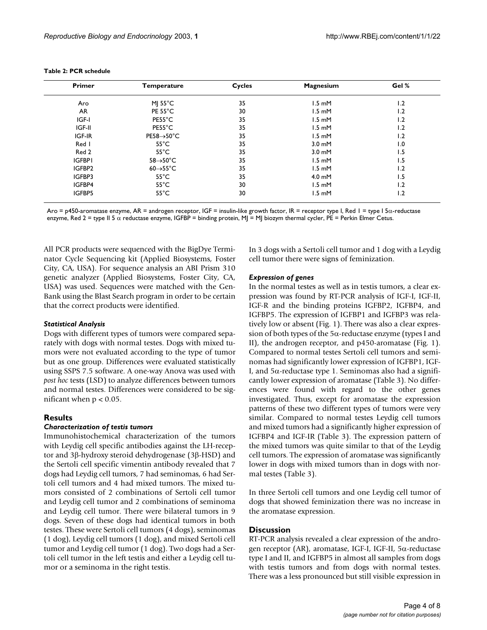| <b>Primer</b> | <b>Temperature</b>             | Cycles | <b>Magnesium</b>           | Gel % |  |
|---------------|--------------------------------|--------|----------------------------|-------|--|
| Aro           | MJ $55^{\circ}$ C              | 35     | $1.5 \text{ mM}$           | 1.2   |  |
| <b>AR</b>     | PE 55°C                        | 30     | $1.5$ mM                   | 2. ا  |  |
| IGF-I         | PE55°C                         | 35     | $1.5$ m $M$                | 1.2   |  |
| IGF-II        | PE55°C                         | 35     | $1.5$ m $M$                | 2. ا  |  |
| IGF-IR        | $PE58 \rightarrow 50^{\circ}C$ | 35     | $1.5 \text{ }\mathrm{m}$ M | 1.2   |  |
| Red I         | $55^{\circ}$ C                 | 35     | $3.0 \text{ mM}$           | 0. ا  |  |
| Red 2         | $55^{\circ}$ C                 | 35     | $3.0 \text{ mM}$           | ۱.5   |  |
| <b>IGFBPI</b> | $58 \rightarrow 50^{\circ}$ C  | 35     | $1.5$ mM                   | 1.5   |  |
| IGFBP2        | $60 \rightarrow 55^{\circ}$ C  | 35     | $1.5 \text{ mM}$           | 1.2   |  |
| IGFBP3        | $55^{\circ}$ C                 | 35     | $4.0 \text{ mM}$           | 1.5   |  |
| IGFBP4        | $55^{\circ}$ C                 | 30     | $1.5$ m $M$                | 1.2   |  |
| IGFBP5        | $55^{\circ}$ C                 | 30     | $1.5$ m $M$                | 1.2   |  |

#### <span id="page-3-0"></span>**Table 2: PCR schedule**

Aro = p450-aromatase enzyme, AR = androgen receptor, IGF = insulin-like growth factor, IR = receptor type I, Red 1 = type I 5α-reductase enzyme, Red 2 = type II 5 α reductase enzyme, IGFBP = binding protein, MJ = MJ biozym thermal cycler, PE = Perkin Elmer Cetus.

All PCR products were sequenced with the BigDye Terminator Cycle Sequencing kit (Applied Biosystems, Foster City, CA, USA). For sequence analysis an ABI Prism 310 genetic analyzer (Applied Biosystems, Foster City, CA, USA) was used. Sequences were matched with the Gen-Bank using the Blast Search program in order to be certain that the correct products were identified.

### *Statistical Analysis*

Dogs with different types of tumors were compared separately with dogs with normal testes. Dogs with mixed tumors were not evaluated according to the type of tumor but as one group. Differences were evaluated statistically using SSPS 7.5 software. A one-way Anova was used with *post hoc* tests (LSD) to analyze differences between tumors and normal testes. Differences were considered to be significant when  $p < 0.05$ .

### **Results**

### *Characterization of testis tumors*

Immunohistochemical characterization of the tumors with Leydig cell specific antibodies against the LH-receptor and 3β-hydroxy steroid dehydrogenase (3β-HSD) and the Sertoli cell specific vimentin antibody revealed that 7 dogs had Leydig cell tumors, 7 had seminomas, 6 had Sertoli cell tumors and 4 had mixed tumors. The mixed tumors consisted of 2 combinations of Sertoli cell tumor and Leydig cell tumor and 2 combinations of seminoma and Leydig cell tumor. There were bilateral tumors in 9 dogs. Seven of these dogs had identical tumors in both testes. These were Sertoli cell tumors (4 dogs), seminomas (1 dog), Leydig cell tumors (1 dog), and mixed Sertoli cell tumor and Leydig cell tumor (1 dog). Two dogs had a Sertoli cell tumor in the left testis and either a Leydig cell tumor or a seminoma in the right testis.

In 3 dogs with a Sertoli cell tumor and 1 dog with a Leydig cell tumor there were signs of feminization.

#### *Expression of genes*

In the normal testes as well as in testis tumors, a clear expression was found by RT-PCR analysis of IGF-I, IGF-II, IGF-R and the binding proteins IGFBP2, IGFBP4, and IGFBP5. The expression of IGFBP1 and IGFBP3 was relatively low or absent (Fig. 1). There was also a clear expression of both types of the  $5\alpha$ -reductase enzyme (types I and II), the androgen receptor, and p450-aromatase (Fig. 1). Compared to normal testes Sertoli cell tumors and seminomas had significantly lower expression of IGFBP1, IGF-I, and 5α-reductase type 1. Seminomas also had a significantly lower expression of aromatase (Table [3](#page-5-0)). No differences were found with regard to the other genes investigated. Thus, except for aromatase the expression patterns of these two different types of tumors were very similar. Compared to normal testes Leydig cell tumors and mixed tumors had a significantly higher expression of IGFBP4 and IGF-IR (Table [3\)](#page-5-0). The expression pattern of the mixed tumors was quite similar to that of the Leydig cell tumors. The expression of aromatase was significantly lower in dogs with mixed tumors than in dogs with normal testes (Table [3\)](#page-5-0).

In three Sertoli cell tumors and one Leydig cell tumor of dogs that showed feminization there was no increase in the aromatase expression.

# **Discussion**

RT-PCR analysis revealed a clear expression of the androgen receptor (AR), aromatase, IGF-I, IGF-II, 5α-reductase type I and II, and IGFBP5 in almost all samples from dogs with testis tumors and from dogs with normal testes. There was a less pronounced but still visible expression in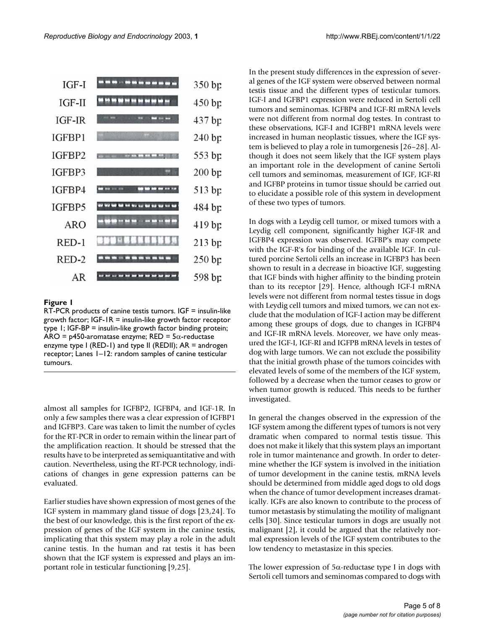

# **Figure 1**

RT-PCR products of canine testis tumors. IGF = insulin-like growth factor; IGF-1R = insulin-like growth factor receptor type 1; IGF-BP = insulin-like growth factor binding protein; ARO = p450-aromatase enzyme; RED =  $5\alpha$ -reductase enzyme type I (RED-1) and type II (REDII); AR = androgen receptor; Lanes 1–12: random samples of canine testicular tumours.

almost all samples for IGFBP2, IGFBP4, and IGF-1R. In only a few samples there was a clear expression of IGFBP1 and IGFBP3. Care was taken to limit the number of cycles for the RT-PCR in order to remain within the linear part of the amplification reaction. It should be stressed that the results have to be interpreted as semiquantitative and with caution. Nevertheless, using the RT-PCR technology, indications of changes in gene expression patterns can be evaluated.

Earlier studies have shown expression of most genes of the IGF system in mammary gland tissue of dogs [23,24]. To the best of our knowledge, this is the first report of the expression of genes of the IGF system in the canine testis, implicating that this system may play a role in the adult canine testis. In the human and rat testis it has been shown that the IGF system is expressed and plays an important role in testicular functioning [9,25].

In the present study differences in the expression of several genes of the IGF system were observed between normal testis tissue and the different types of testicular tumors. IGF-I and IGFBP1 expression were reduced in Sertoli cell tumors and seminomas. IGFBP4 and IGF-RI mRNA levels were not different from normal dog testes. In contrast to these observations, IGF-I and IGFBP1 mRNA levels were increased in human neoplastic tissues, where the IGF system is believed to play a role in tumorgenesis [26–28]. Although it does not seem likely that the IGF system plays an important role in the development of canine Sertoli cell tumors and seminomas, measurement of IGF, IGF-RI and IGFBP proteins in tumor tissue should be carried out to elucidate a possible role of this system in development of these two types of tumors.

In dogs with a Leydig cell tumor, or mixed tumors with a Leydig cell component, significantly higher IGF-IR and IGFBP4 expression was observed. IGFBP's may compete with the IGF-R's for binding of the available IGF. In cultured porcine Sertoli cells an increase in IGFBP3 has been shown to result in a decrease in bioactive IGF, suggesting that IGF binds with higher affinity to the binding protein than to its receptor [29]. Hence, although IGF-I mRNA levels were not different from normal testes tissue in dogs with Leydig cell tumors and mixed tumors, we can not exclude that the modulation of IGF-I action may be different among these groups of dogs, due to changes in IGFBP4 and IGF-IR mRNA levels. Moreover, we have only measured the IGF-I, IGF-RI and IGFPB mRNA levels in testes of dog with large tumors. We can not exclude the possibility that the initial growth phase of the tumors coincides with elevated levels of some of the members of the IGF system, followed by a decrease when the tumor ceases to grow or when tumor growth is reduced. This needs to be further investigated.

In general the changes observed in the expression of the IGF system among the different types of tumors is not very dramatic when compared to normal testis tissue. This does not make it likely that this system plays an important role in tumor maintenance and growth. In order to determine whether the IGF system is involved in the initiation of tumor development in the canine testis, mRNA levels should be determined from middle aged dogs to old dogs when the chance of tumor development increases dramatically. IGFs are also known to contribute to the process of tumor metastasis by stimulating the motility of malignant cells [30]. Since testicular tumors in dogs are usually not malignant [2], it could be argued that the relatively normal expression levels of the IGF system contributes to the low tendency to metastasize in this species.

The lower expression of  $5\alpha$ -reductase type I in dogs with Sertoli cell tumors and seminomas compared to dogs with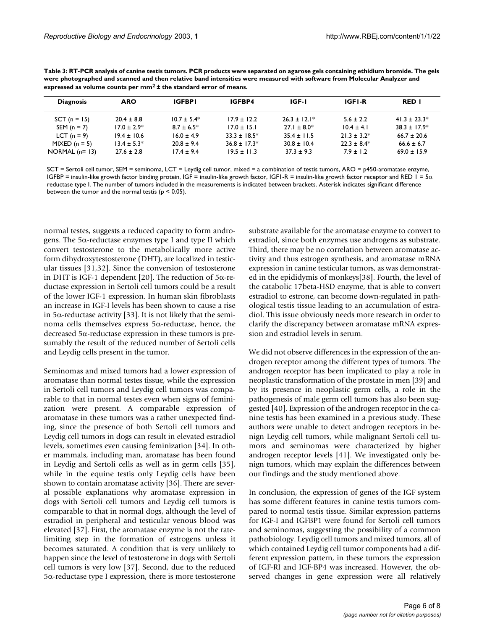| <b>Diagnosis</b> | <b>ARO</b>       | <b>IGFBPI</b>   | IGFBP4            | IGF-I            | <b>IGFI-R</b>    | <b>RED I</b>      |
|------------------|------------------|-----------------|-------------------|------------------|------------------|-------------------|
| $SCT (n = 15)$   | $20.4 \pm 8.8$   | $10.7 \pm 5.4*$ | $17.9 \pm 12.2$   | $26.3 \pm 12.1*$ | $5.6 \pm 2.2$    | $41.3 \pm 23.3^*$ |
| SEM $(n = 7)$    | $17.0 \pm 2.9^*$ | $8.7 \pm 6.5^*$ | $17.0 \pm 15.1$   | $27.1 \pm 8.0^*$ | $10.4 \pm 4.1$   | $38.3 \pm 17.9*$  |
| $LCT (n = 9)$    | $19.4 \pm 10.6$  | $16.0 \pm 4.9$  | $33.3 \pm 18.5^*$ | $35.4 \pm 11.5$  | $21.3 \pm 3.2^*$ | $66.7 \pm 20.6$   |
| $MIXED (n = 5)$  | $13.4 + 5.3*$    | $20.8 \pm 9.4$  | $36.8 \pm 17.3*$  | $30.8 \pm 10.4$  | $22.3 \pm 8.4*$  | $66.6 \pm 6.7$    |
| NORMAL $(n=13)$  | $27.6 \pm 2.8$   | $17.4 + 9.4$    | $19.5 \pm 11.3$   | $37.3 \pm 9.3$   | $7.9 \pm 1.2$    | $69.0 \pm 15.9$   |

<span id="page-5-0"></span>**Table 3: RT-PCR analysis of canine testis tumors. PCR products were separated on agarose gels containing ethidium bromide. The gels were photographed and scanned and then relative band intensities were measured with software from Molecular Analyzer and expressed as volume counts per mm2 ± the standard error of means.**

SCT = Sertoli cell tumor, SEM = seminoma, LCT = Leydig cell tumor, mixed = a combination of testis tumors, ARO = p450-aromatase enzyme, IGFBP = insulin-like growth factor binding protein, IGF = insulin-like growth factor, IGF1-R = insulin-like growth factor receptor and RED 1 =  $5\alpha$ reductase type I. The number of tumors included in the measurements is indicated between brackets. Asterisk indicates significant difference between the tumor and the normal testis ( $p < 0.05$ ).

normal testes, suggests a reduced capacity to form androgens. The 5α-reductase enzymes type I and type II which convert testosterone to the metabolically more active form dihydroxytestosterone (DHT), are localized in testicular tissues [31,32]. Since the conversion of testosterone in DHT is IGF-1 dependent [20]. The reduction of 5α-reductase expression in Sertoli cell tumors could be a result of the lower IGF-1 expression. In human skin fibroblasts an increase in IGF-I levels has been shown to cause a rise in 5 $\alpha$ -reductase activity [33]. It is not likely that the seminoma cells themselves express 5α-reductase, hence, the decreased 5α-reductase expression in these tumors is presumably the result of the reduced number of Sertoli cells and Leydig cells present in the tumor.

Seminomas and mixed tumors had a lower expression of aromatase than normal testes tissue, while the expression in Sertoli cell tumors and Leydig cell tumors was comparable to that in normal testes even when signs of feminization were present. A comparable expression of aromatase in these tumors was a rather unexpected finding, since the presence of both Sertoli cell tumors and Leydig cell tumors in dogs can result in elevated estradiol levels, sometimes even causing feminization [34]. In other mammals, including man, aromatase has been found in Leydig and Sertoli cells as well as in germ cells [35], while in the equine testis only Leydig cells have been shown to contain aromatase activity [36]. There are several possible explanations why aromatase expression in dogs with Sertoli cell tumors and Leydig cell tumors is comparable to that in normal dogs, although the level of estradiol in peripheral and testicular venous blood was elevated [37]. First, the aromatase enzyme is not the ratelimiting step in the formation of estrogens unless it becomes saturated. A condition that is very unlikely to happen since the level of testosterone in dogs with Sertoli cell tumors is very low [37]. Second, due to the reduced 5α-reductase type I expression, there is more testosterone substrate available for the aromatase enzyme to convert to estradiol, since both enzymes use androgens as substrate. Third, there may be no correlation between aromatase activity and thus estrogen synthesis, and aromatase mRNA expression in canine testicular tumors, as was demonstrated in the epididymis of monkeys[38]. Fourth, the level of the catabolic 17beta-HSD enzyme, that is able to convert estradiol to estrone, can become down-regulated in pathological testis tissue leading to an accumulation of estradiol. This issue obviously needs more research in order to clarify the discrepancy between aromatase mRNA expression and estradiol levels in serum.

We did not observe differences in the expression of the androgen receptor among the different types of tumors. The androgen receptor has been implicated to play a role in neoplastic transformation of the prostate in men [39] and by its presence in neoplastic germ cells, a role in the pathogenesis of male germ cell tumors has also been suggested [40]. Expression of the androgen receptor in the canine testis has been examined in a previous study. These authors were unable to detect androgen receptors in benign Leydig cell tumors, while malignant Sertoli cell tumors and seminomas were characterized by higher androgen receptor levels [41]. We investigated only benign tumors, which may explain the differences between our findings and the study mentioned above.

In conclusion, the expression of genes of the IGF system has some different features in canine testis tumors compared to normal testis tissue. Similar expression patterns for IGF-I and IGFBP1 were found for Sertoli cell tumors and seminomas, suggesting the possibility of a common pathobiology. Leydig cell tumors and mixed tumors, all of which contained Leydig cell tumor components had a different expression pattern, in these tumors the expression of IGF-RI and IGF-BP4 was increased. However, the observed changes in gene expression were all relatively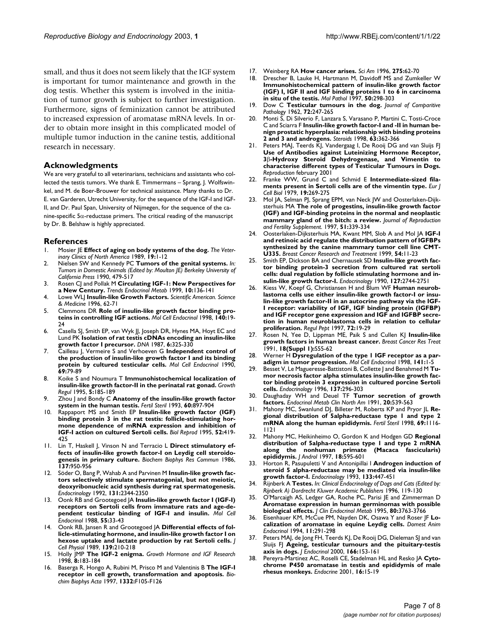small, and thus it does not seem likely that the IGF system is important for tumor maintenance and growth in the dog testis. Whether this system is involved in the initiation of tumor growth is subject to further investigation. Furthermore, signs of feminization cannot be attributed to increased expression of aromatase mRNA levels. In order to obtain more insight in this complicated model of multiple tumor induction in the canine testis, additional research in necessary.

# **Acknowledgments**

We are very grateful to all veterinarians, technicians and assistants who collected the testis tumors. We thank E. Timmermans – Sprang, J. Wolfswinkel, and M. de Boer-Brouwer for technical assistance. Many thanks to Dr. E. van Garderen, Utrecht University, for the sequence of the IGF-I and IGF-II, and Dr. Paul Span, University of Nijmegen, for the sequence of the canine-specific  $5\alpha$ -reductase primers. The critical reading of the manuscript by Dr. B. Belshaw is highly appreciated.

# **References**

- 1. Mosier JE **[Effect of aging on body systems of the dog.](http://www.ncbi.nlm.nih.gov/entrez/query.fcgi?cmd=Retrieve&db=PubMed&dopt=Abstract&list_uids=2646811)** *The Veterinary Clinics of North America* 1989, **19:**1-12
- 2. Nielsen SW and Kennedy PC **Tumors of the genital systems.** *In: Tumors in Domestic Animals (Edited by: Moulton JE) Berkeley University of California Press* 1990, 479-517
- 3. Rosen CJ and Pollak M **[Circulating IGF-1: New Perspectives for](http://www.ncbi.nlm.nih.gov/entrez/query.fcgi?cmd=Retrieve&db=PubMed&dopt=Abstract&list_uids=10322407) [a New Century.](http://www.ncbi.nlm.nih.gov/entrez/query.fcgi?cmd=Retrieve&db=PubMed&dopt=Abstract&list_uids=10322407)** *Trends Endocrinol Metab* 1999, **10:**136-141
- 4. Lowe WLJ **Insulin-like Growth Factors.** *Scientific American. Science & Medicine* 1996, 62-71
- 5. Clemmons DR **[Role of insulin-like growth factor binding pro](http://www.ncbi.nlm.nih.gov/entrez/query.fcgi?cmd=Retrieve&db=PubMed&dopt=Abstract&list_uids=9722163)[teins in controlling IGF actions.](http://www.ncbi.nlm.nih.gov/entrez/query.fcgi?cmd=Retrieve&db=PubMed&dopt=Abstract&list_uids=9722163)** *Mol Cell Endocrinol* 1998, **140:**19- 24
- 6. Casella SJ, Smith EP, van Wyk JJ, Joseph DR, Hynes MA, Hoyt EC and Lund PK **[Isolation of rat testis cDNAs encoding an insulin-like](http://www.ncbi.nlm.nih.gov/entrez/query.fcgi?cmd=Retrieve&db=PubMed&dopt=Abstract&list_uids=3652906) [growth factor I precursor.](http://www.ncbi.nlm.nih.gov/entrez/query.fcgi?cmd=Retrieve&db=PubMed&dopt=Abstract&list_uids=3652906)** *DNA* 1987, **6:**325-330
- 7. Cailleau J, Vermeire S and Verhoeven G **[Independent control of](http://www.ncbi.nlm.nih.gov/entrez/query.fcgi?cmd=Retrieve&db=PubMed&dopt=Abstract&list_uids=2157618) [the production of insulin-like growth factor I and its binding](http://www.ncbi.nlm.nih.gov/entrez/query.fcgi?cmd=Retrieve&db=PubMed&dopt=Abstract&list_uids=2157618) [protein by cultured testicular cells.](http://www.ncbi.nlm.nih.gov/entrez/query.fcgi?cmd=Retrieve&db=PubMed&dopt=Abstract&list_uids=2157618)** *Mol Cell Endocrinol* 1990, **69:**79-89
- 8. Koike S and Noumura T **[Immunohistochemical localization of](http://www.ncbi.nlm.nih.gov/entrez/query.fcgi?cmd=Retrieve&db=PubMed&dopt=Abstract&list_uids=8745143) [insulin-like growth factor-II in the perinatal rat gonad.](http://www.ncbi.nlm.nih.gov/entrez/query.fcgi?cmd=Retrieve&db=PubMed&dopt=Abstract&list_uids=8745143)** *Growth Regul* 1995, **5:**185-189
- 9. Zhou J and Bondy C **[Anatomy of the insulin-like growth factor](http://www.ncbi.nlm.nih.gov/entrez/query.fcgi?cmd=Retrieve&db=PubMed&dopt=Abstract&list_uids=7693517) [system in the human testis.](http://www.ncbi.nlm.nih.gov/entrez/query.fcgi?cmd=Retrieve&db=PubMed&dopt=Abstract&list_uids=7693517)** *Fertil Steril* 1993, **60:**897-904
- 10. Rappaport MS and Smith EP **[Insulin-like growth factor \(IGF\)](http://www.ncbi.nlm.nih.gov/entrez/query.fcgi?cmd=Retrieve&db=PubMed&dopt=Abstract&list_uids=7536052) [binding protein 3 in the rat testis: follicle-stimulating hor](http://www.ncbi.nlm.nih.gov/entrez/query.fcgi?cmd=Retrieve&db=PubMed&dopt=Abstract&list_uids=7536052)mone dependence of mRNA expression and inhibition of [IGF-I action on cultured Sertoli cells.](http://www.ncbi.nlm.nih.gov/entrez/query.fcgi?cmd=Retrieve&db=PubMed&dopt=Abstract&list_uids=7536052)** *Biol Reprod* 1995, **52:**419- 425
- 11. Lin T, Haskell J, Vinson N and Terracio L **[Direct stimulatory ef](http://www.ncbi.nlm.nih.gov/entrez/query.fcgi?cmd=Retrieve&db=PubMed&dopt=Abstract&list_uids=3488061)[fects of insulin-like growth factor-I on Leydig cell steroido](http://www.ncbi.nlm.nih.gov/entrez/query.fcgi?cmd=Retrieve&db=PubMed&dopt=Abstract&list_uids=3488061)[genesis in primary culture.](http://www.ncbi.nlm.nih.gov/entrez/query.fcgi?cmd=Retrieve&db=PubMed&dopt=Abstract&list_uids=3488061)** *Biochem Biophys Res Commun* 1986, **137:**950-956
- 12. Söder O, Bang P, Wahab A and Parvinen M **[Insulin-like growth fac](http://www.ncbi.nlm.nih.gov/entrez/query.fcgi?cmd=Retrieve&db=PubMed&dopt=Abstract&list_uids=1425434)tors selectively stimulate spermatogonial, but not meiotic, [deoxyribonucleic acid synthesis during rat spermatogenesis.](http://www.ncbi.nlm.nih.gov/entrez/query.fcgi?cmd=Retrieve&db=PubMed&dopt=Abstract&list_uids=1425434)** *Endocrinology* 1992, **131:**2344-2350
- 13. Oonk RB and Grootegoed JA **[Insulin-like growth factor I \(IGF-I\)](http://www.ncbi.nlm.nih.gov/entrez/query.fcgi?cmd=Retrieve&db=PubMed&dopt=Abstract&list_uids=2966084) [receptors on Sertoli cells from immature rats and age-de](http://www.ncbi.nlm.nih.gov/entrez/query.fcgi?cmd=Retrieve&db=PubMed&dopt=Abstract&list_uids=2966084)[pendent testicular binding of IGF-I and insulin.](http://www.ncbi.nlm.nih.gov/entrez/query.fcgi?cmd=Retrieve&db=PubMed&dopt=Abstract&list_uids=2966084)** *Mol Cell Endocrinol* 1988, **55:**33-43
- 14. Oonk RB, Jansen R and Grootegoed JA [Differential effects of fol](http://www.ncbi.nlm.nih.gov/entrez/query.fcgi?cmd=Retrieve&db=PubMed&dopt=Abstract&list_uids=2496132)**[licle-stimulating hormone, and insulin-like growth factor I on](http://www.ncbi.nlm.nih.gov/entrez/query.fcgi?cmd=Retrieve&db=PubMed&dopt=Abstract&list_uids=2496132) [hexose uptake and lactate production by rat Sertoli cells.](http://www.ncbi.nlm.nih.gov/entrez/query.fcgi?cmd=Retrieve&db=PubMed&dopt=Abstract&list_uids=2496132)** *J Cell Physiol* 1989, **139:**210-218
- 15. Holly JMP **[The IGF-2 enigma.](http://www.ncbi.nlm.nih.gov/entrez/query.fcgi?cmd=Retrieve&db=PubMed&dopt=Abstract&list_uids=10984305)** *Growth Hormone and IGF Research* 1998, **8:**183-184
- 16. Baserga R, Hongo A, Rubini M, Prisco M and Valentinis B **[The IGF-I](http://www.ncbi.nlm.nih.gov/entrez/query.fcgi?cmd=Retrieve&db=PubMed&dopt=Abstract&list_uids=9196021) [receptor in cell growth, transformation and apoptosis.](http://www.ncbi.nlm.nih.gov/entrez/query.fcgi?cmd=Retrieve&db=PubMed&dopt=Abstract&list_uids=9196021)** *Biochim Biophys Acta* 1997, **1332:**F105-F126
- 17. Weinberg RA **[How cancer arises.](http://www.ncbi.nlm.nih.gov/entrez/query.fcgi?cmd=Retrieve&db=PubMed&dopt=Abstract&list_uids=8701295)** *Sci Am* 1996, **275:**62-70
- 18. Drescher B, Lauke H, Hartmann M, Davidoff MS and Zumkeller W **[Immunohistochemical pattern of insulin-like growth factor](http://www.ncbi.nlm.nih.gov/entrez/query.fcgi?cmd=Retrieve&db=PubMed&dopt=Abstract&list_uids=9536279) (IGF) I, IGF II and IGF binding proteins 1 to 6 in carcinoma [in situ of the testis.](http://www.ncbi.nlm.nih.gov/entrez/query.fcgi?cmd=Retrieve&db=PubMed&dopt=Abstract&list_uids=9536279)** *Mol Pathol* 1997, **50:**298-303
- 19. Dow C **Testicular tumours in the dog.** *Journal of Comparitive Pathology* 1962, **72:**247-265
- 20. Monti S, Di Silverio F, Lanzara S, Varasano P, Martini C, Tosti-Croce C and Sciarra F **[Insulin-like growth factor-I and -II in human be](http://www.ncbi.nlm.nih.gov/entrez/query.fcgi?cmd=Retrieve&db=PubMed&dopt=Abstract&list_uids=9618803)[nign prostatic hyperplasia: relationship with binding proteins](http://www.ncbi.nlm.nih.gov/entrez/query.fcgi?cmd=Retrieve&db=PubMed&dopt=Abstract&list_uids=9618803) [2 and 3 and androgens.](http://www.ncbi.nlm.nih.gov/entrez/query.fcgi?cmd=Retrieve&db=PubMed&dopt=Abstract&list_uids=9618803)** *Steroids* 1998, **63:**362-366
- 21. Peters MAJ, Teerds KJ, Vandergaag I, De Rooij DG and van Sluijs FJ **Use of Antibodies against Luteinizing Hormone Receptor, 3**β**-Hydroxy Steroid Dehydrogenase, and Vimentin to characterise different types of Testicular Tumours in Dogs.** *Reproduction* february 2001
- 22. Franke WW, Grund C and Schmid E **[Intermediate-sized fila](http://www.ncbi.nlm.nih.gov/entrez/query.fcgi?cmd=Retrieve&db=PubMed&dopt=Abstract&list_uids=385322)[ments present in Sertoli cells are of the vimentin type.](http://www.ncbi.nlm.nih.gov/entrez/query.fcgi?cmd=Retrieve&db=PubMed&dopt=Abstract&list_uids=385322)** *Eur J Cell Biol* 1979, **19:**269-275
- 23. Mol JA, Selman PJ, Sprang EPM, van Neck JW and Oosterlaken-Dijksterhuis MA **[The role of progestins, insulin-like growth factor](http://www.ncbi.nlm.nih.gov/entrez/query.fcgi?cmd=Retrieve&db=PubMed&dopt=Abstract&list_uids=9404304) [\(IGF\) and IGF-binding proteins in the normal and neoplastic](http://www.ncbi.nlm.nih.gov/entrez/query.fcgi?cmd=Retrieve&db=PubMed&dopt=Abstract&list_uids=9404304) [mammary gland of the bitch: a review.](http://www.ncbi.nlm.nih.gov/entrez/query.fcgi?cmd=Retrieve&db=PubMed&dopt=Abstract&list_uids=9404304)** *Journal of Reproduction and Fertility Supplement.* 1997, **51:**339-334
- 24. Oosterlaken-Dijksterhuis MA, Kwant MM, Slob A and Mol JA **[IGF-I](http://www.ncbi.nlm.nih.gov/entrez/query.fcgi?cmd=Retrieve&db=PubMed&dopt=Abstract&list_uids=10369076) and retinoic acid regulate the distribution pattern of IGFBPs [synthesized by the canine mammary tumor cell line CMT-](http://www.ncbi.nlm.nih.gov/entrez/query.fcgi?cmd=Retrieve&db=PubMed&dopt=Abstract&list_uids=10369076)[U335.](http://www.ncbi.nlm.nih.gov/entrez/query.fcgi?cmd=Retrieve&db=PubMed&dopt=Abstract&list_uids=10369076)** *Breast Cancer Research and Treatment* 1999, **54:**11-23
- 25. Smith EP, Dickson BA and Chernausek SD **[Insulin-like growth fac](http://www.ncbi.nlm.nih.gov/entrez/query.fcgi?cmd=Retrieve&db=PubMed&dopt=Abstract&list_uids=1701126)tor binding protein-3 secretion from cultured rat sertoli [cells: dual regulation by follicle stimulating hormone and in](http://www.ncbi.nlm.nih.gov/entrez/query.fcgi?cmd=Retrieve&db=PubMed&dopt=Abstract&list_uids=1701126)[sulin-like growth factor-I.](http://www.ncbi.nlm.nih.gov/entrez/query.fcgi?cmd=Retrieve&db=PubMed&dopt=Abstract&list_uids=1701126)** *Endocrinology* 1990, **127:**2744-2751
- 26. Kiess W, Koepf G, Christiansen H and Blum WF **[Human neurob](http://www.ncbi.nlm.nih.gov/entrez/query.fcgi?cmd=Retrieve&db=PubMed&dopt=Abstract&list_uids=9404729)lastoma cells use either insulin-like growth factor-I or insulin-like growth factor-II in an autocrine pathway via the IGF-I receptor: variability of IGF, IGF binding protein (IGFBP) [and IGF receptor gene expression and IGF and IGFBP secre](http://www.ncbi.nlm.nih.gov/entrez/query.fcgi?cmd=Retrieve&db=PubMed&dopt=Abstract&list_uids=9404729)tion in human neuroblastoma cells in relation to cellular [proliferation.](http://www.ncbi.nlm.nih.gov/entrez/query.fcgi?cmd=Retrieve&db=PubMed&dopt=Abstract&list_uids=9404729)** *Regul Pept* 1997, **72:**19-29
- 27. Rosen N, Yee D, Lippman ME, Paik S and Cullen KJ **[Insulin-like](http://www.ncbi.nlm.nih.gov/entrez/query.fcgi?cmd=Retrieve&db=PubMed&dopt=Abstract&list_uids=1651793) [growth factors in human breast cancer.](http://www.ncbi.nlm.nih.gov/entrez/query.fcgi?cmd=Retrieve&db=PubMed&dopt=Abstract&list_uids=1651793)** *Breast Cancer Res Treat* 1991, **18(Suppl 1):**S55-62
- 28. Werner H Dysregulation of the type I IGF receptor as a par**[adigm in tumor progression.](http://www.ncbi.nlm.nih.gov/entrez/query.fcgi?cmd=Retrieve&db=PubMed&dopt=Abstract&list_uids=9723878)** *Mol Cell Endocrinol* 1998, **141:**1-5
- 29. Besset V, Le Magueresse-Battistoni B, Collette J and Benahmed M **[Tu](http://www.ncbi.nlm.nih.gov/entrez/query.fcgi?cmd=Retrieve&db=PubMed&dopt=Abstract&list_uids=8536626)mor necrosis factor alpha stimulates insulin-like growth fac[tor binding protein 3 expression in cultured porcine Sertoli](http://www.ncbi.nlm.nih.gov/entrez/query.fcgi?cmd=Retrieve&db=PubMed&dopt=Abstract&list_uids=8536626) [cells.](http://www.ncbi.nlm.nih.gov/entrez/query.fcgi?cmd=Retrieve&db=PubMed&dopt=Abstract&list_uids=8536626)** *Endocrinology* 1996, **137:**296-303
- 30. Daughaday WH and Deuel TF **[Tumor secretion of growth](http://www.ncbi.nlm.nih.gov/entrez/query.fcgi?cmd=Retrieve&db=PubMed&dopt=Abstract&list_uids=1718747) [factors.](http://www.ncbi.nlm.nih.gov/entrez/query.fcgi?cmd=Retrieve&db=PubMed&dopt=Abstract&list_uids=1718747)** *Endocrinol Metab Clin North Am* 1991, **20:**539-563
- 31. Mahony MC, Swanlund DJ, Billeter M, Roberts KP and Pryor JL **[Re](http://www.ncbi.nlm.nih.gov/entrez/query.fcgi?cmd=Retrieve&db=PubMed&dopt=Abstract&list_uids=9627302)[gional distribution of 5alpha-reductase type 1 and type 2](http://www.ncbi.nlm.nih.gov/entrez/query.fcgi?cmd=Retrieve&db=PubMed&dopt=Abstract&list_uids=9627302) [mRNA along the human epididymis.](http://www.ncbi.nlm.nih.gov/entrez/query.fcgi?cmd=Retrieve&db=PubMed&dopt=Abstract&list_uids=9627302)** *Fertil Steril* 1998, **69:**1116- 1121
- 32. Mahony MC, Heikinheimo O, Gordon K and Hodgen GD **[Regional](http://www.ncbi.nlm.nih.gov/entrez/query.fcgi?cmd=Retrieve&db=PubMed&dopt=Abstract&list_uids=9432132) distribution of 5alpha-reductase type 1 and type 2 mRNA [along the nonhuman primate \(Macaca fascicularis\)](http://www.ncbi.nlm.nih.gov/entrez/query.fcgi?cmd=Retrieve&db=PubMed&dopt=Abstract&list_uids=9432132) [epididymis.](http://www.ncbi.nlm.nih.gov/entrez/query.fcgi?cmd=Retrieve&db=PubMed&dopt=Abstract&list_uids=9432132)** *J Androl* 1997, **18:**595-601
- 33. Horton R, Pasupuletti V and Antonipillai I **[Androgen induction of](http://www.ncbi.nlm.nih.gov/entrez/query.fcgi?cmd=Retrieve&db=PubMed&dopt=Abstract&list_uids=8344190) [steroid 5 alpha-reductase may be mediated via insulin-like](http://www.ncbi.nlm.nih.gov/entrez/query.fcgi?cmd=Retrieve&db=PubMed&dopt=Abstract&list_uids=8344190) [growth factor-I.](http://www.ncbi.nlm.nih.gov/entrez/query.fcgi?cmd=Retrieve&db=PubMed&dopt=Abstract&list_uids=8344190)** *Endocrinology* 1993, **133:**447-451
- 34. Rijnberk A **Testes.** *In: Clinical Endocrinology of Dogs and Cats (Edited by: Rijnberk A) Dordrecht Kluwer Academic Publishers* 1996, 119-130
- 35. O'Marcaigh AS, Ledger GA, Roche PC, Parisi JE and Zimmerman D **[Aromatase expression in human germinomas with possible](http://www.ncbi.nlm.nih.gov/entrez/query.fcgi?cmd=Retrieve&db=PubMed&dopt=Abstract&list_uids=8530631) [biological effects.](http://www.ncbi.nlm.nih.gov/entrez/query.fcgi?cmd=Retrieve&db=PubMed&dopt=Abstract&list_uids=8530631)** *J Clin Endocrinol Metab* 1995, **80:**3763-3766
- 36. Eisenhauer KM, McCue PM, Nayden DK, Osawa Y and Roser JF **[Lo](http://www.ncbi.nlm.nih.gov/entrez/query.fcgi?cmd=Retrieve&db=PubMed&dopt=Abstract&list_uids=7956176)[calization of aromatase in equine Leydig cells.](http://www.ncbi.nlm.nih.gov/entrez/query.fcgi?cmd=Retrieve&db=PubMed&dopt=Abstract&list_uids=7956176)** *Domest Anim Endocrinol* 1994, **11:**291-298
- 37. Peters MAJ, de Jong FH, Teerds KJ, De Rooij DG, Dieleman SJ and van Sluijs FJ **[Ageing, testicular tumours and the pituitary-testis](http://www.ncbi.nlm.nih.gov/entrez/query.fcgi?cmd=Retrieve&db=PubMed&dopt=Abstract&list_uids=10856894) [axis in dogs.](http://www.ncbi.nlm.nih.gov/entrez/query.fcgi?cmd=Retrieve&db=PubMed&dopt=Abstract&list_uids=10856894)** *J Endocrinol* 2000, **166:**153-161
- 38. Pereyra-Martinez AC, Roselli CE, Stadelman HL and Resko JA **[Cyto](http://www.ncbi.nlm.nih.gov/entrez/query.fcgi?cmd=Retrieve&db=PubMed&dopt=Abstract&list_uids=11822822)[chrome P450 aromatase in testis and epididymis of male](http://www.ncbi.nlm.nih.gov/entrez/query.fcgi?cmd=Retrieve&db=PubMed&dopt=Abstract&list_uids=11822822) [rhesus monkeys.](http://www.ncbi.nlm.nih.gov/entrez/query.fcgi?cmd=Retrieve&db=PubMed&dopt=Abstract&list_uids=11822822)** *Endocrine* 2001, **16:**15-19